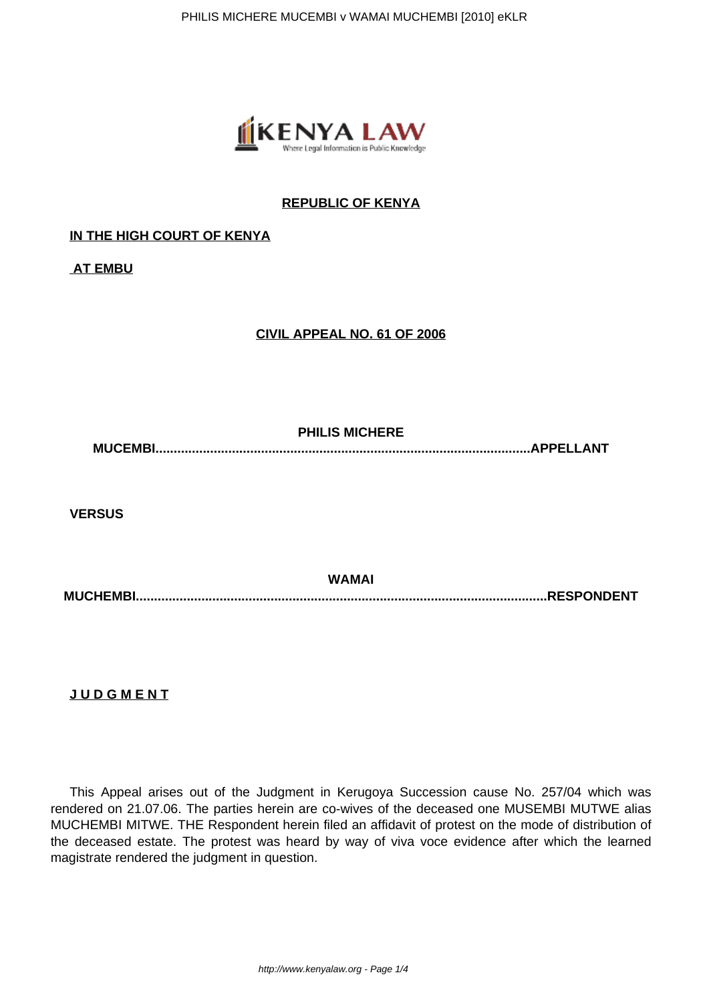

## **REPUBLIC OF KENYA**

## **IN THE HIGH COURT OF KENYA**

**AT EMBU**

## **CIVIL APPEAL NO. 61 OF 2006**

**PHILIS MICHERE MUCEMBI.......................................................................................................APPELLANT**

**VERSUS**

**WAMAI MUCHEMBI.................................................................................................................RESPONDENT**

**J U D G M E N T**

This Appeal arises out of the Judgment in Kerugoya Succession cause No. 257/04 which was rendered on 21.07.06. The parties herein are co-wives of the deceased one MUSEMBI MUTWE alias MUCHEMBI MITWE. THE Respondent herein filed an affidavit of protest on the mode of distribution of the deceased estate. The protest was heard by way of viva voce evidence after which the learned magistrate rendered the judgment in question.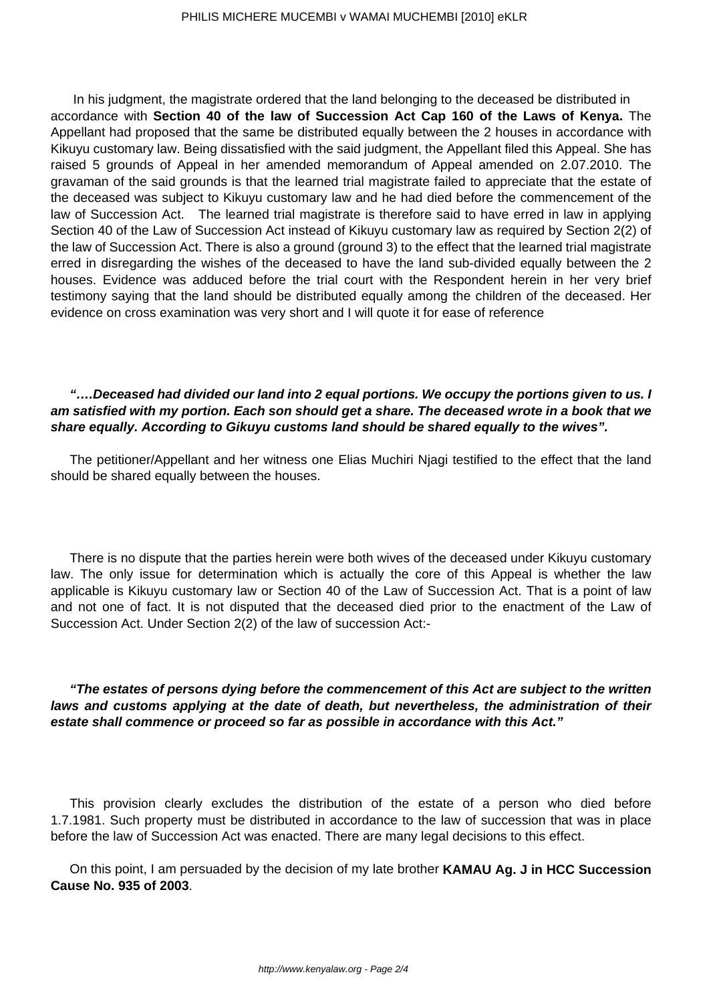In his judgment, the magistrate ordered that the land belonging to the deceased be distributed in accordance with **Section 40 of the law of Succession Act Cap 160 of the Laws of Kenya.** The Appellant had proposed that the same be distributed equally between the 2 houses in accordance with Kikuyu customary law. Being dissatisfied with the said judgment, the Appellant filed this Appeal. She has raised 5 grounds of Appeal in her amended memorandum of Appeal amended on 2.07.2010. The gravaman of the said grounds is that the learned trial magistrate failed to appreciate that the estate of the deceased was subject to Kikuyu customary law and he had died before the commencement of the law of Succession Act. The learned trial magistrate is therefore said to have erred in law in applying Section 40 of the Law of Succession Act instead of Kikuyu customary law as required by Section 2(2) of the law of Succession Act. There is also a ground (ground 3) to the effect that the learned trial magistrate erred in disregarding the wishes of the deceased to have the land sub-divided equally between the 2 houses. Evidence was adduced before the trial court with the Respondent herein in her very brief testimony saying that the land should be distributed equally among the children of the deceased. Her evidence on cross examination was very short and I will quote it for ease of reference

## **"….Deceased had divided our land into 2 equal portions. We occupy the portions given to us. I am satisfied with my portion. Each son should get a share. The deceased wrote in a book that we share equally. According to Gikuyu customs land should be shared equally to the wives".**

The petitioner/Appellant and her witness one Elias Muchiri Njagi testified to the effect that the land should be shared equally between the houses.

There is no dispute that the parties herein were both wives of the deceased under Kikuyu customary law. The only issue for determination which is actually the core of this Appeal is whether the law applicable is Kikuyu customary law or Section 40 of the Law of Succession Act. That is a point of law and not one of fact. It is not disputed that the deceased died prior to the enactment of the Law of Succession Act. Under Section 2(2) of the law of succession Act:-

**"The estates of persons dying before the commencement of this Act are subject to the written laws and customs applying at the date of death, but nevertheless, the administration of their estate shall commence or proceed so far as possible in accordance with this Act."**

This provision clearly excludes the distribution of the estate of a person who died before 1.7.1981. Such property must be distributed in accordance to the law of succession that was in place before the law of Succession Act was enacted. There are many legal decisions to this effect.

On this point, I am persuaded by the decision of my late brother **KAMAU Ag. J in HCC Succession Cause No. 935 of 2003**.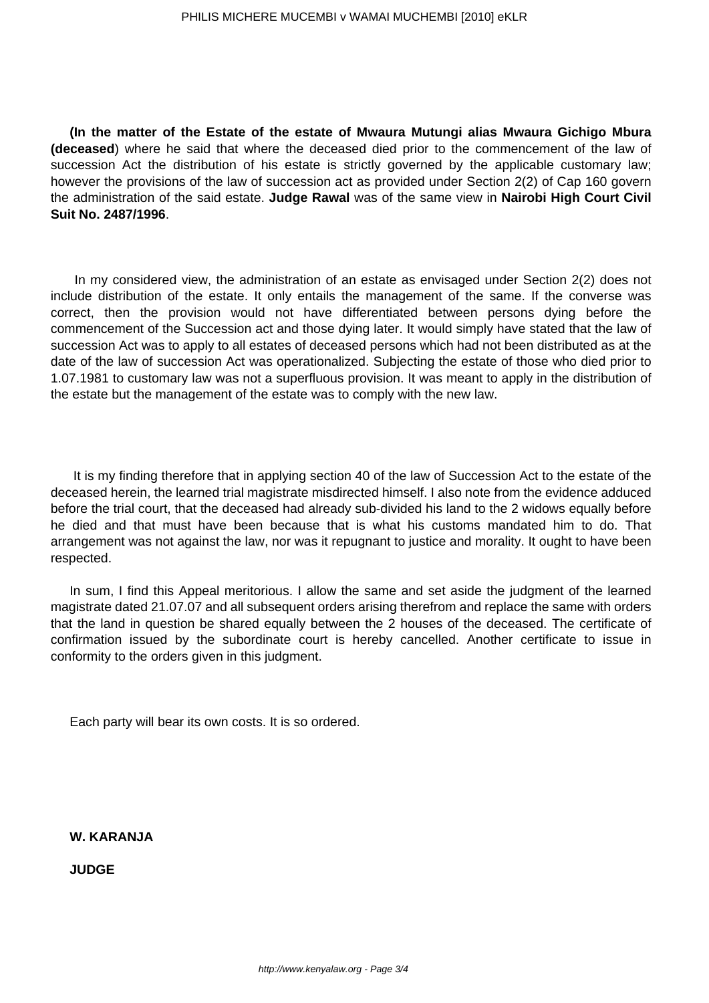**(In the matter of the Estate of the estate of Mwaura Mutungi alias Mwaura Gichigo Mbura (deceased**) where he said that where the deceased died prior to the commencement of the law of succession Act the distribution of his estate is strictly governed by the applicable customary law; however the provisions of the law of succession act as provided under Section 2(2) of Cap 160 govern the administration of the said estate. **Judge Rawal** was of the same view in **Nairobi High Court Civil Suit No. 2487/1996**.

In my considered view, the administration of an estate as envisaged under Section 2(2) does not include distribution of the estate. It only entails the management of the same. If the converse was correct, then the provision would not have differentiated between persons dying before the commencement of the Succession act and those dying later. It would simply have stated that the law of succession Act was to apply to all estates of deceased persons which had not been distributed as at the date of the law of succession Act was operationalized. Subjecting the estate of those who died prior to 1.07.1981 to customary law was not a superfluous provision. It was meant to apply in the distribution of the estate but the management of the estate was to comply with the new law.

It is my finding therefore that in applying section 40 of the law of Succession Act to the estate of the deceased herein, the learned trial magistrate misdirected himself. I also note from the evidence adduced before the trial court, that the deceased had already sub-divided his land to the 2 widows equally before he died and that must have been because that is what his customs mandated him to do. That arrangement was not against the law, nor was it repugnant to justice and morality. It ought to have been respected.

In sum, I find this Appeal meritorious. I allow the same and set aside the judgment of the learned magistrate dated 21.07.07 and all subsequent orders arising therefrom and replace the same with orders that the land in question be shared equally between the 2 houses of the deceased. The certificate of confirmation issued by the subordinate court is hereby cancelled. Another certificate to issue in conformity to the orders given in this judgment.

Each party will bear its own costs. It is so ordered.

**W. KARANJA**

**JUDGE**